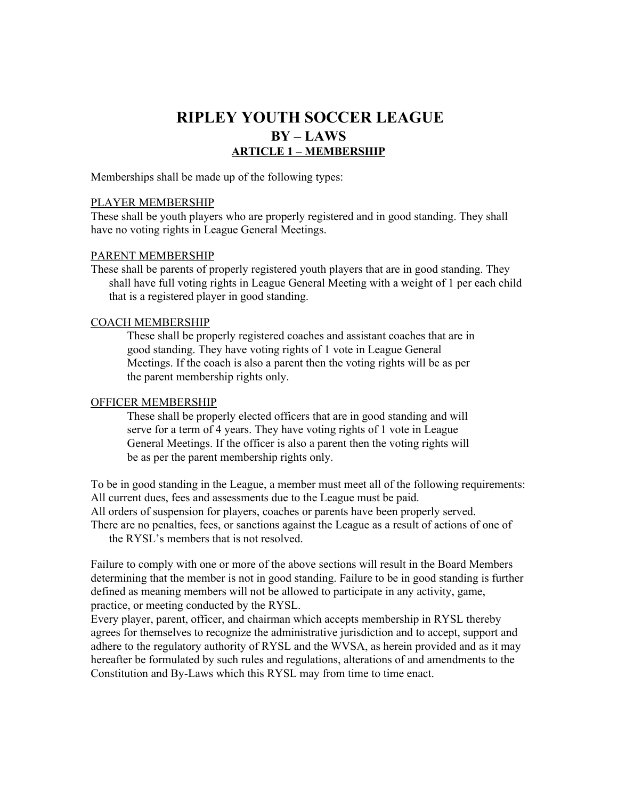# **RIPLEY YOUTH SOCCER LEAGUE BY – LAWS ARTICLE 1 – MEMBERSHIP**

Memberships shall be made up of the following types:

#### PLAYER MEMBERSHIP

These shall be youth players who are properly registered and in good standing. They shall have no voting rights in League General Meetings.

#### PARENT MEMBERSHIP

These shall be parents of properly registered youth players that are in good standing. They shall have full voting rights in League General Meeting with a weight of 1 per each child that is a registered player in good standing.

#### COACH MEMBERSHIP

These shall be properly registered coaches and assistant coaches that are in good standing. They have voting rights of 1 vote in League General Meetings. If the coach is also a parent then the voting rights will be as per the parent membership rights only.

#### OFFICER MEMBERSHIP

These shall be properly elected officers that are in good standing and will serve for a term of 4 years. They have voting rights of 1 vote in League General Meetings. If the officer is also a parent then the voting rights will be as per the parent membership rights only.

To be in good standing in the League, a member must meet all of the following requirements: All current dues, fees and assessments due to the League must be paid.

All orders of suspension for players, coaches or parents have been properly served.

There are no penalties, fees, or sanctions against the League as a result of actions of one of the RYSL's members that is not resolved.

Failure to comply with one or more of the above sections will result in the Board Members determining that the member is not in good standing. Failure to be in good standing is further defined as meaning members will not be allowed to participate in any activity, game, practice, or meeting conducted by the RYSL.

Every player, parent, officer, and chairman which accepts membership in RYSL thereby agrees for themselves to recognize the administrative jurisdiction and to accept, support and adhere to the regulatory authority of RYSL and the WVSA, as herein provided and as it may hereafter be formulated by such rules and regulations, alterations of and amendments to the Constitution and By-Laws which this RYSL may from time to time enact.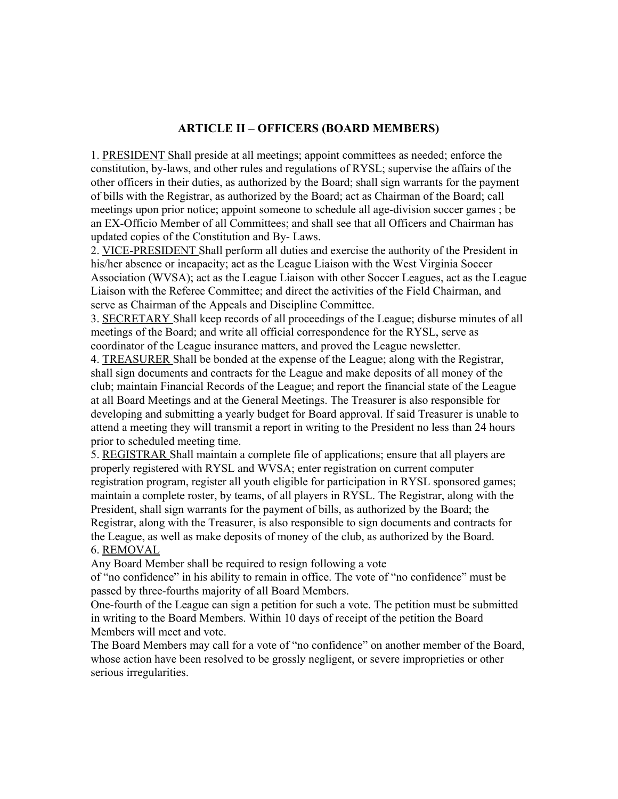# **ARTICLE II – OFFICERS (BOARD MEMBERS)**

1. PRESIDENT Shall preside at all meetings; appoint committees as needed; enforce the constitution, by-laws, and other rules and regulations of RYSL; supervise the affairs of the other officers in their duties, as authorized by the Board; shall sign warrants for the payment of bills with the Registrar, as authorized by the Board; act as Chairman of the Board; call meetings upon prior notice; appoint someone to schedule all age-division soccer games ; be an EX-Officio Member of all Committees; and shall see that all Officers and Chairman has updated copies of the Constitution and By- Laws.

2. VICE-PRESIDENT Shall perform all duties and exercise the authority of the President in his/her absence or incapacity; act as the League Liaison with the West Virginia Soccer Association (WVSA); act as the League Liaison with other Soccer Leagues, act as the League Liaison with the Referee Committee; and direct the activities of the Field Chairman, and serve as Chairman of the Appeals and Discipline Committee.

3. SECRETARY Shall keep records of all proceedings of the League; disburse minutes of all meetings of the Board; and write all official correspondence for the RYSL, serve as coordinator of the League insurance matters, and proved the League newsletter.

4. TREASURER Shall be bonded at the expense of the League; along with the Registrar, shall sign documents and contracts for the League and make deposits of all money of the club; maintain Financial Records of the League; and report the financial state of the League at all Board Meetings and at the General Meetings. The Treasurer is also responsible for developing and submitting a yearly budget for Board approval. If said Treasurer is unable to attend a meeting they will transmit a report in writing to the President no less than 24 hours prior to scheduled meeting time.

5. REGISTRAR Shall maintain a complete file of applications; ensure that all players are properly registered with RYSL and WVSA; enter registration on current computer registration program, register all youth eligible for participation in RYSL sponsored games; maintain a complete roster, by teams, of all players in RYSL. The Registrar, along with the President, shall sign warrants for the payment of bills, as authorized by the Board; the Registrar, along with the Treasurer, is also responsible to sign documents and contracts for the League, as well as make deposits of money of the club, as authorized by the Board. 6. REMOVAL

Any Board Member shall be required to resign following a vote

of "no confidence" in his ability to remain in office. The vote of "no confidence" must be passed by three-fourths majority of all Board Members.

One-fourth of the League can sign a petition for such a vote. The petition must be submitted in writing to the Board Members. Within 10 days of receipt of the petition the Board Members will meet and vote.

The Board Members may call for a vote of "no confidence" on another member of the Board, whose action have been resolved to be grossly negligent, or severe improprieties or other serious irregularities.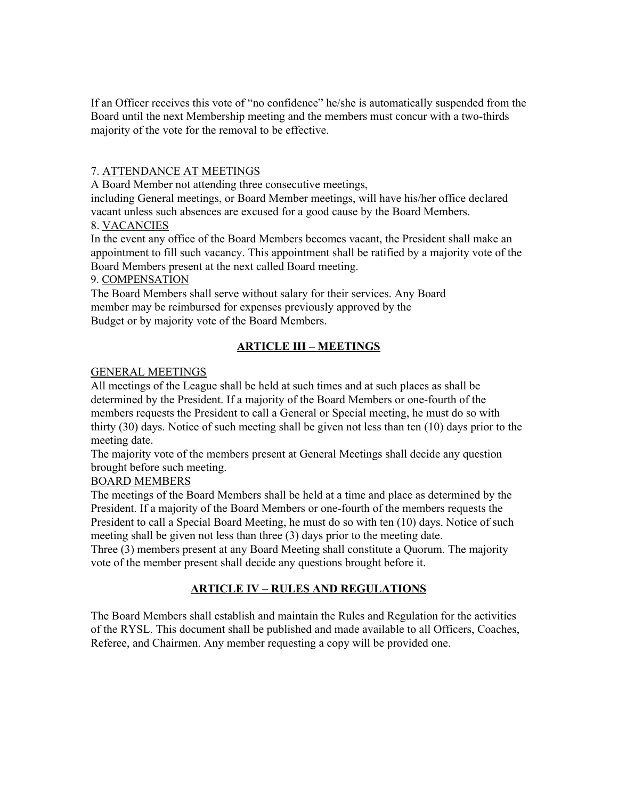If an Officer receives this vote of "no confidence" he/she is automatically suspended from the Board until the next Membership meeting and the members must concur with a two-thirds majority of the vote for the removal to be effective.

# 7. ATTENDANCE AT MEETINGS

A Board Member not attending three consecutive meetings,

including General meetings, or Board Member meetings, will have his/her office declared vacant unless such absences are excused for a good cause by the Board Members.

# 8. VACANCIES

In the event any office of the Board Members becomes vacant, the President shall make an appointment to fill such vacancy. This appointment shall be ratified by a majority vote of the Board Members present at the next called Board meeting.

## 9. COMPENSATION

The Board Members shall serve without salary for their services. Any Board member may be reimbursed for expenses previously approved by the Budget or by majority vote of the Board Members.

# **ARTICLE III – MEETINGS**

# GENERAL MEETINGS

All meetings of the League shall be held at such times and at such places as shall be determined by the President. If a majority of the Board Members or one-fourth of the members requests the President to call a General or Special meeting, he must do so with thirty (30) days. Notice of such meeting shall be given not less than ten (10) days prior to the meeting date.

The majority vote of the members present at General Meetings shall decide any question brought before such meeting.

# BOARD MEMBERS

The meetings of the Board Members shall be held at a time and place as determined by the President. If a majority of the Board Members or one-fourth of the members requests the President to call a Special Board Meeting, he must do so with ten (10) days. Notice of such meeting shall be given not less than three (3) days prior to the meeting date.

Three (3) members present at any Board Meeting shall constitute a Quorum. The majority vote of the member present shall decide any questions brought before it.

# **ARTICLE IV – RULES AND REGULATIONS**

The Board Members shall establish and maintain the Rules and Regulation for the activities of the RYSL. This document shall be published and made available to all Officers, Coaches, Referee, and Chairmen. Any member requesting a copy will be provided one.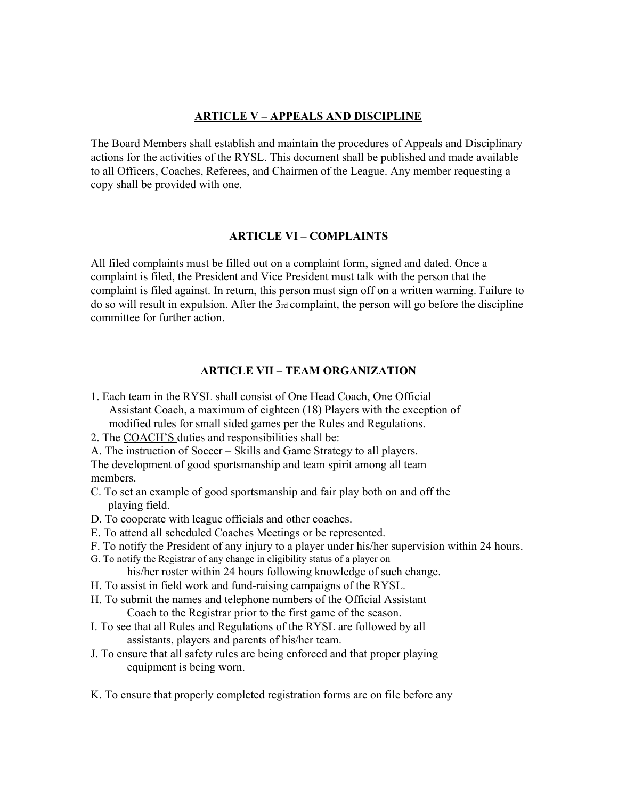## **ARTICLE V – APPEALS AND DISCIPLINE**

The Board Members shall establish and maintain the procedures of Appeals and Disciplinary actions for the activities of the RYSL. This document shall be published and made available to all Officers, Coaches, Referees, and Chairmen of the League. Any member requesting a copy shall be provided with one.

#### **ARTICLE VI – COMPLAINTS**

All filed complaints must be filled out on a complaint form, signed and dated. Once a complaint is filed, the President and Vice President must talk with the person that the complaint is filed against. In return, this person must sign off on a written warning. Failure to do so will result in expulsion. After the 3rd complaint, the person will go before the discipline committee for further action.

## **ARTICLE VII – TEAM ORGANIZATION**

- 1. Each team in the RYSL shall consist of One Head Coach, One Official Assistant Coach, a maximum of eighteen (18) Players with the exception of modified rules for small sided games per the Rules and Regulations.
- 2. The COACH'S duties and responsibilities shall be:

A. The instruction of Soccer – Skills and Game Strategy to all players. The development of good sportsmanship and team spirit among all team members.

- C. To set an example of good sportsmanship and fair play both on and off the playing field.
- D. To cooperate with league officials and other coaches.
- E. To attend all scheduled Coaches Meetings or be represented.
- F. To notify the President of any injury to a player under his/her supervision within 24 hours.
- G. To notify the Registrar of any change in eligibility status of a player on his/her roster within 24 hours following knowledge of such change.
- H. To assist in field work and fund-raising campaigns of the RYSL.
- H. To submit the names and telephone numbers of the Official Assistant Coach to the Registrar prior to the first game of the season.
- I. To see that all Rules and Regulations of the RYSL are followed by all assistants, players and parents of his/her team.
- J. To ensure that all safety rules are being enforced and that proper playing equipment is being worn.
- K. To ensure that properly completed registration forms are on file before any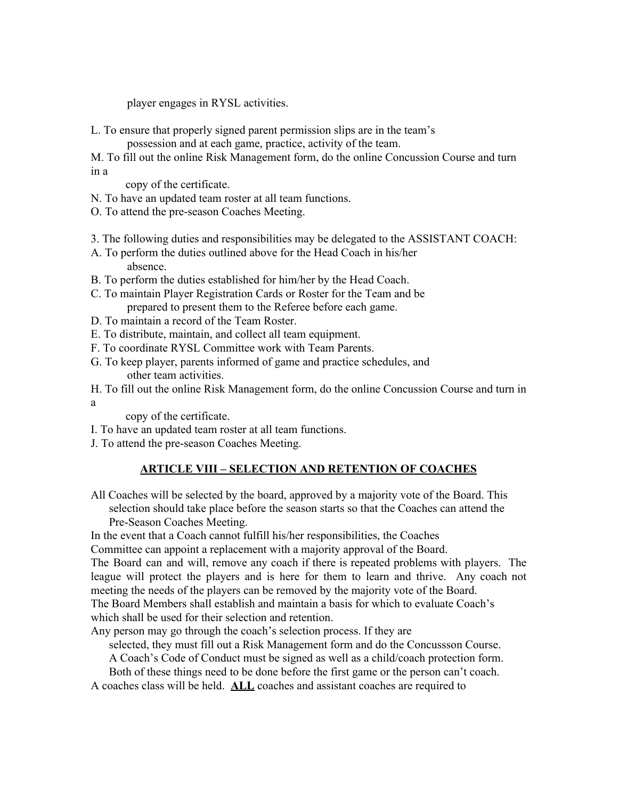player engages in RYSL activities.

L. To ensure that properly signed parent permission slips are in the team's

possession and at each game, practice, activity of the team.

M. To fill out the online Risk Management form, do the online Concussion Course and turn in a

copy of the certificate.

N. To have an updated team roster at all team functions.

- O. To attend the pre-season Coaches Meeting.
- 3. The following duties and responsibilities may be delegated to the ASSISTANT COACH:
- A. To perform the duties outlined above for the Head Coach in his/her absence.
- B. To perform the duties established for him/her by the Head Coach.
- C. To maintain Player Registration Cards or Roster for the Team and be prepared to present them to the Referee before each game.
- D. To maintain a record of the Team Roster.
- E. To distribute, maintain, and collect all team equipment.
- F. To coordinate RYSL Committee work with Team Parents.
- G. To keep player, parents informed of game and practice schedules, and other team activities.
- H. To fill out the online Risk Management form, do the online Concussion Course and turn in a

copy of the certificate.

- I. To have an updated team roster at all team functions.
- J. To attend the pre-season Coaches Meeting.

# **ARTICLE VIII – SELECTION AND RETENTION OF COACHES**

All Coaches will be selected by the board, approved by a majority vote of the Board. This selection should take place before the season starts so that the Coaches can attend the Pre-Season Coaches Meeting.

In the event that a Coach cannot fulfill his/her responsibilities, the Coaches

Committee can appoint a replacement with a majority approval of the Board.

The Board can and will, remove any coach if there is repeated problems with players. The league will protect the players and is here for them to learn and thrive. Any coach not meeting the needs of the players can be removed by the majority vote of the Board. The Board Members shall establish and maintain a basis for which to evaluate Coach's which shall be used for their selection and retention.

Any person may go through the coach's selection process. If they are

selected, they must fill out a Risk Management form and do the Concussson Course.

A Coach's Code of Conduct must be signed as well as a child/coach protection form.

Both of these things need to be done before the first game or the person can't coach.

A coaches class will be held. **ALL** coaches and assistant coaches are required to